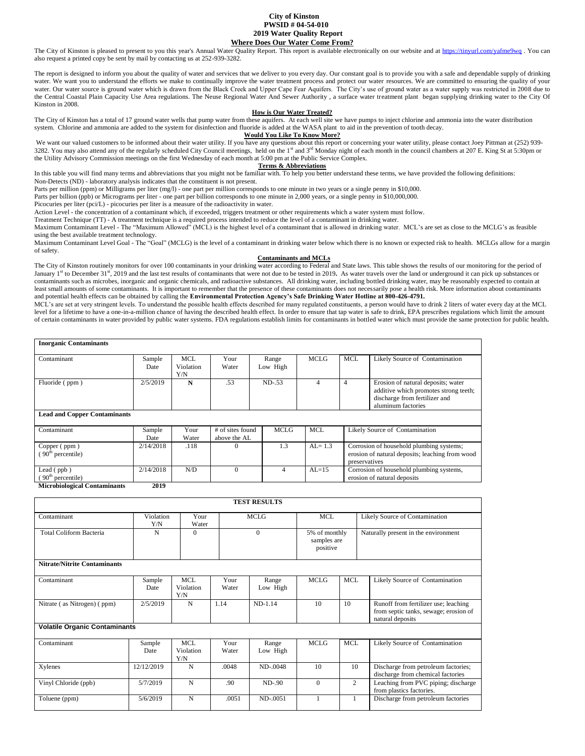#### **City of Kinston PWSID # 04-54-010 2019 Water Quality Report Where Does Our Water Come From?**

The City of Kinston is pleased to present to you this year's Annual Water Quality Report. This report is available electronically on our website and at<https://tinyurl.com/yafme9wq>. You can also request a printed copy be sent by mail by contacting us at 252-939-3282.

The report is designed to inform you about the quality of water and services that we deliver to you every day. Our constant goal is to provide you with a safe and dependable supply of drinking water. We want you to understand the efforts we make to continually improve the water treatment process and protect our water resources. We are committed to ensuring the quality of your water. Our water source is ground water which is drawn from the Black Creek and Upper Cape Fear Aquifers. The City's use of ground water as a water supply was restricted in 2008 due to the Central Coastal Plain Capacity Use Area regulations. The Neuse Regional Water And Sewer Authority , a surface water treatment plant began supplying drinking water to the City Of Kinston in 2008.

#### **How is Our Water Treated?**

The City of Kinston has a total of 17 ground water wells that pump water from these aquifers. At each well site we have pumps to inject chlorine and ammonia into the water distribution system. Chlorine and ammonia are added to the system for disinfection and fluoride is added at the WASA plant to aid in the prevention of tooth decay.

**Would You Like To Know More?**

We want our valued customers to be informed about their water utility. If you have any questions about this report or concerning your water utility, please contact Joey Pittman at (252) 939-<br>3282. You may also attend any the Utility Advisory Commission meetings on the first Wednesday of each month at 5:00 pm at the Public Service Complex.

#### **Terms & Abbreviations**

In this table you will find many terms and abbreviations that you might not be familiar with. To help you better understand these terms, we have provided the following definitions:

Non-Detects (ND) - laboratory analysis indicates that the constituent is not present. Parts per million (ppm) or Milligrams per liter (mg/l) - one part per million corresponds to one minute in two years or a single penny in \$10,000.

Parts per billion (ppb) or Micrograms per liter - one part per billion corresponds to one minute in 2,000 years, or a single penny in \$10,000,000.

Picocuries per liter (pci/L) - picocuries per liter is a measure of the radioactivity in water.

Action Level - the concentration of a contaminant which, if exceeded, triggers treatment or other requirements which a water system must follow.

Treatment Technique (TT) - A treatment technique is a required process intended to reduce the level of a contaminant in drinking water.

Maximum Contaminant Level - The "Maximum Allowed" (MCL) is the highest level of a contaminant that is allowed in drinking water. MCL's are set as close to the MCLG's as feasible using the best available treatment technology.

Maximum Contaminant Level Goal - The "Goal" (MCLG) is the level of a contaminant in drinking water below which there is no known or expected risk to health. MCLGs allow for a margin of safety.

#### **Contaminants and MCLs**

The City of Kinston routinely monitors for over 100 contaminants in your drinking water according to Federal and State laws. This table shows the results of our monitoring for the period of January 1<sup>st</sup> to December 31<sup>st</sup>, 2019 and the last test results of contaminants that were not due to be tested in 2019. As water travels over the land or underground it can pick up substances or contaminants such as microbes, inorganic and organic chemicals, and radioactive substances. All drinking water, including bottled drinking water, may be reasonably expected to contain at least small amounts of some contaminants. It is important to remember that the presence of these contaminants does not necessarily pose a health risk. More information about contaminants and potential health effects can be obtained by calling the **Environmental Protection Agency's Safe Drinking Water Hotline at 800-426-4791.**

MCL's are set at very stringent levels. To understand the possible health effects described for many regulated constituents, a person would have to drink 2 liters of water every day at the MCL level for a lifetime to have a one-in-a-million chance of having the described health effect. In order to ensure that tap water is safe to drink, EPA prescribes regulations which limit the amount of certain contaminants in water provided by public water systems. FDA regulations establish limits for contaminants in bottled water which must provide the same protection for public health**.** 

| <b>Inorganic Contaminants</b>                     |                                           |                  |                                  |             |             |                |                                                                                                                                    |
|---------------------------------------------------|-------------------------------------------|------------------|----------------------------------|-------------|-------------|----------------|------------------------------------------------------------------------------------------------------------------------------------|
| Contaminant                                       | Sample                                    | <b>MCL</b>       | Your                             | Range       | <b>MCLG</b> | <b>MCL</b>     | Likely Source of Contamination                                                                                                     |
|                                                   | Date                                      | Violation<br>Y/N | Water                            | Low High    |             |                |                                                                                                                                    |
| Fluoride (ppm)                                    | 2/5/2019                                  | N                | .53                              | $ND-53$     | 4           | $\overline{4}$ | Erosion of natural deposits; water<br>additive which promotes strong teeth;<br>discharge from fertilizer and<br>aluminum factories |
| <b>Lead and Copper Contaminants</b>               |                                           |                  |                                  |             |             |                |                                                                                                                                    |
| Contaminant                                       | Sample<br>Date                            | Your<br>Water    | # of sites found<br>above the AL | <b>MCLG</b> | <b>MCL</b>  |                | Likely Source of Contamination                                                                                                     |
| Copper (ppm)<br>(90 <sup>th</sup> percentile)     | 2/14/2018                                 | .118             | $\Omega$                         | 1.3         | $AL = 1.3$  | preservatives  | Corrosion of household plumbing systems;<br>erosion of natural deposits; leaching from wood                                        |
| Lead $($ ppb $)$<br>(90 <sup>th</sup> percentile) | 2/14/2018                                 | N/D              | $\Omega$                         | 4           | $AL=15$     |                | Corrosion of household plumbing systems,<br>erosion of natural deposits                                                            |
| $\cdots$<br>$\cdots$                              | $\bullet \bullet \bullet \bullet \bullet$ |                  |                                  |             |             |                |                                                                                                                                    |

**Microbiological Contaminants 2019**

|                                      |                  |                                |               | <b>TEST RESULTS</b> |              |                                          |                                                                                                   |
|--------------------------------------|------------------|--------------------------------|---------------|---------------------|--------------|------------------------------------------|---------------------------------------------------------------------------------------------------|
| Contaminant                          | Violation<br>Y/N | Your<br>Water                  |               | <b>MCLG</b>         | <b>MCL</b>   |                                          | Likely Source of Contamination                                                                    |
| <b>Total Coliform Bacteria</b>       | N                | $\Omega$                       |               | $\Omega$            |              | 5% of monthly<br>samples are<br>positive | Naturally present in the environment                                                              |
| <b>Nitrate/Nitrite Contaminants</b>  |                  |                                |               |                     |              |                                          |                                                                                                   |
| Contaminant                          | Sample<br>Date   | <b>MCL</b><br>Violation<br>Y/N | Your<br>Water | Range<br>Low High   | <b>MCLG</b>  | <b>MCL</b>                               | Likely Source of Contamination                                                                    |
| Nitrate (as Nitrogen) (ppm)          | 2/5/2019         | N                              | 1.14          | $ND-1.14$           | 10           | 10                                       | Runoff from fertilizer use; leaching<br>from septic tanks, sewage; erosion of<br>natural deposits |
| <b>Volatile Organic Contaminants</b> |                  |                                |               |                     |              |                                          |                                                                                                   |
| Contaminant                          | Sample<br>Date   | <b>MCL</b><br>Violation<br>Y/N | Your<br>Water | Range<br>Low High   | <b>MCLG</b>  | <b>MCL</b>                               | Likely Source of Contamination                                                                    |
| Xylenes                              | 12/12/2019       | N                              | .0048         | ND-.0048            | 10           | 10                                       | Discharge from petroleum factories;<br>discharge from chemical factories                          |
| Vinyl Chloride (ppb)                 | 5/7/2019         | N                              | .90           | $ND-90$             | $\mathbf{0}$ | $\overline{2}$                           | Leaching from PVC piping; discharge<br>from plastics factories.                                   |
| Toluene (ppm)                        | 5/6/2019         | N                              | .0051         | ND-.0051            |              | 1                                        | Discharge from petroleum factories                                                                |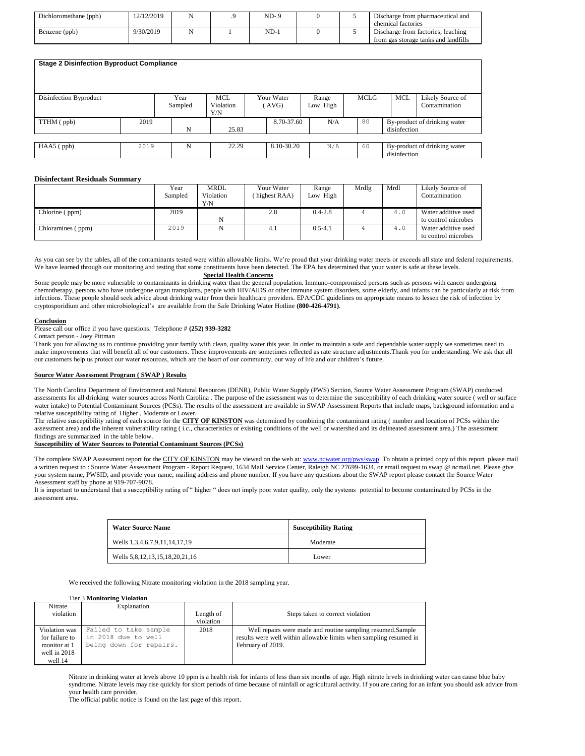| Dichloromethane (ppb) | 12/12/2019 |  | $ND-9$ |  | Discharge from pharmaceutical and    |
|-----------------------|------------|--|--------|--|--------------------------------------|
|                       |            |  |        |  | chemical factories                   |
| Benzene (ppb)         | 9/30/2019  |  | ND-    |  | Discharge from factories: leaching   |
|                       |            |  |        |  | from gas storage tanks and landfills |

| <b>Stage 2 Disinfection Byproduct Compliance</b> |      |                 |                                |                     |                   |      |              |                                   |
|--------------------------------------------------|------|-----------------|--------------------------------|---------------------|-------------------|------|--------------|-----------------------------------|
| Disinfection Byproduct                           |      | Year<br>Sampled | <b>MCL</b><br>Violation<br>Y/N | Your Water<br>(AVG) | Range<br>Low High | MCLG | <b>MCL</b>   | Likely Source of<br>Contamination |
| TTHM (ppb)                                       | 2019 | N               | 25.83                          | 8.70-37.60          | N/A               | 80   | disinfection | By-product of drinking water      |
| $HAA5$ ( $ppb$ )                                 | 2019 | N               | 22.29                          | 8.10-30.20          | N/A               | 60   |              | By-product of drinking water      |
|                                                  |      |                 |                                |                     |                   |      | disinfection |                                   |

#### **Disinfectant Residuals Summary**

|                   | Year<br>Sampled | <b>MRDL</b><br>Violation<br>Y/N | Your Water<br>highest RAA) | Range<br>Low High | Mrdlg | Mrdl | Likely Source of<br>Contamination |
|-------------------|-----------------|---------------------------------|----------------------------|-------------------|-------|------|-----------------------------------|
| Chlorine (ppm)    | 2019            |                                 | 2.8                        | $0.4 - 2.8$       |       | 4.0  | Water additive used               |
|                   |                 | N                               |                            |                   |       |      | to control microbes               |
| Chloramines (ppm) | 2019            | N                               | 4.1                        | $0.5 - 4.1$       |       | 4.0  | Water additive used               |
|                   |                 |                                 |                            |                   |       |      | to control microbes               |

As you can see by the tables, all of the contaminants tested were within allowable limits. We're proud that your drinking water meets or exceeds all state and federal requirements. We have learned through our monitoring and testing that some constituents have been detected. The EPA has determined that your water is safe at these levels.

#### **Special Health Concerns**

Some people may be more vulnerable to contaminants in drinking water than the general population. Immuno-compromised persons such as persons with cancer undergoing chemotherapy, persons who have undergone organ transplants, people with HIV/AIDS or other immune system disorders, some elderly, and infants can be particularly at risk from infections. These people should seek advice about drinking water from their healthcare providers. EPA/CDC guidelines on appropriate means to lessen the risk of infection by cryptosporidium and other microbiological's are available from the Safe Drinking Water Hotline **(800-426-4791)**.

#### **Conclusion**

#### Please call our office if you have questions. Telephone #  $(252)$  939-3282

Contact person - Joey Pittman

Thank you for allowing us to continue providing your family with clean, quality water this year. In order to maintain a safe and dependable water supply we sometimes need to make improvements that will benefit all of our customers. These improvements are sometimes reflected as rate structure adjustments.Thank you for understanding. We ask that all our customers help us protect our water resources, which are the heart of our community, our way of life and our children's future.

#### **Source Water Assessment Program ( SWAP ) Results**

The North Carolina Department of Environment and Natural Resources (DENR), Public Water Supply (PWS) Section, Source Water Assessment Program (SWAP) conducted assessments for all drinking water sources across North Carolina . The purpose of the assessment was to determine the susceptibility of each drinking water source ( well or surface water intake) to Potential Contaminant Sources (PCSs). The results of the assessment are available in SWAP Assessment Reports that include maps, background information and a relative susceptibility rating of Higher , Moderate or Lower.

The relative susceptibility rating of each source for the **CITY OF KINSTON** was determined by combining the contaminant rating ( number and location of PCSs within the assessment area) and the inherent vulnerability rating (i.c., characteristics or existing conditions of the well or watershed and its delineated assessment area.) The assessment findings are summarized in the table below.

#### **Susceptibility of Water Sources to Potential Contaminant Sources (PCSs)**

The complete SWAP Assessment report for the CITY OF KINSTON may be viewed on the web at[: www.ncwater.org/pws/swap](http://www.ncwater.org/pws/swap) To obtain a printed copy of this report please mail a written request to : Source Water Assessment Program - Report Request, 1634 Mail Service Center, Raleigh NC 27699-1634, or email request to swap @ ncmail.net. Please give your system name, PWSID, and provide your name, mailing address and phone number. If you have any questions about the SWAP report please contact the Source Water Assessment staff by phone at 919-707-9078.

It is important to understand that a susceptibility rating of " higher " does not imply poor water quality, only the systems potential to become contaminated by PCSs in the assessment area.

| <b>Water Source Name</b>       | <b>Susceptibility Rating</b> |
|--------------------------------|------------------------------|
| Wells 1,3,4,6,7,9,11,14,17,19  | Moderate                     |
| Wells 5,8,12,13,15,18,20,21,16 | Lower                        |

We received the following Nitrate monitoring violation in the 2018 sampling year.

#### Tier 3 **Monitoring Violation**

| Nitrate        | Explanation             |           |                                                                    |
|----------------|-------------------------|-----------|--------------------------------------------------------------------|
| violation      |                         | Length of | Steps taken to correct violation                                   |
|                |                         | violation |                                                                    |
| Violation was  | Failed to take sample   | 2018      | Well repairs were made and routine sampling resumed. Sample        |
| for failure to | in 2018 due to well     |           | results were well within allowable limits when sampling resumed in |
| monitor at 1   | being down for repairs. |           | February of 2019.                                                  |
| well in 2018   |                         |           |                                                                    |
| well 14        |                         |           |                                                                    |

Nitrate in drinking water at levels above 10 ppm is a health risk for infants of less than six months of age. High nitrate levels in drinking water can cause blue baby syndrome. Nitrate levels may rise quickly for short periods of time because of rainfall or agricultural activity. If you are caring for an infant you should ask advice from your health care provider.

The official public notice is found on the last page of this report.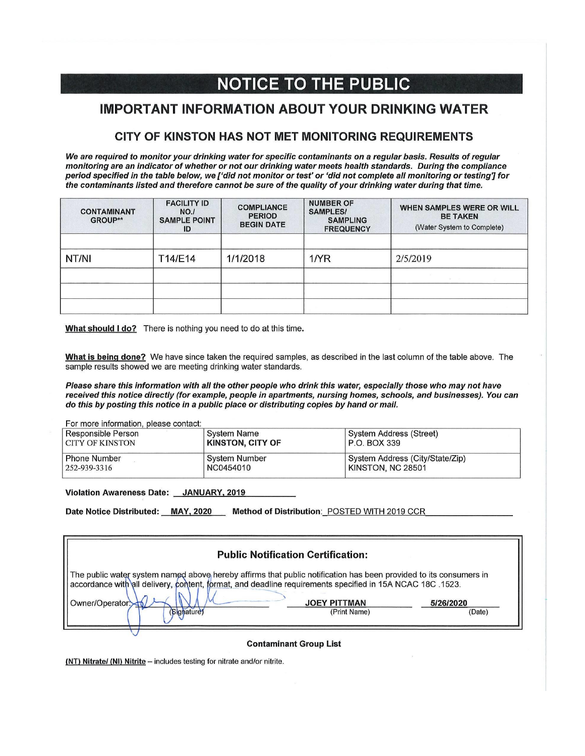# **NOTICE TO THE PUBLIC**

## **IMPORTANT INFORMATION ABOUT YOUR DRINKING WATER**

### CITY OF KINSTON HAS NOT MET MONITORING REQUIREMENTS

We are required to monitor your drinking water for specific contaminants on a regular basis. Results of regular monitoring are an indicator of whether or not our drinking water meets health standards. During the compliance period specified in the table below, we ['did not monitor or test' or 'did not complete all monitoring or testing'] for the contaminants listed and therefore cannot be sure of the quality of your drinking water during that time.

| <b>CONTAMINANT</b><br>GROUP** | <b>FACILITY ID</b><br>NO.1<br><b>SAMPLE POINT</b><br>ID | <b>COMPLIANCE</b><br><b>PERIOD</b><br><b>BEGIN DATE</b> | <b>NUMBER OF</b><br><b>SAMPLES/</b><br><b>SAMPLING</b><br><b>FREQUENCY</b> | WHEN SAMPLES WERE OR WILL<br><b>BE TAKEN</b><br>(Water System to Complete) |
|-------------------------------|---------------------------------------------------------|---------------------------------------------------------|----------------------------------------------------------------------------|----------------------------------------------------------------------------|
| NT/NI                         | T14/E14                                                 | 1/1/2018                                                | $1$ / $\overline{R}$                                                       | 2/5/2019                                                                   |
|                               |                                                         |                                                         |                                                                            |                                                                            |
|                               |                                                         |                                                         |                                                                            |                                                                            |

What should I do? There is nothing you need to do at this time.

What is being done? We have since taken the required samples, as described in the last column of the table above. The sample results showed we are meeting drinking water standards.

Please share this information with all the other people who drink this water, especially those who may not have received this notice directly (for example, people in apartments, nursing homes, schools, and businesses). You can do this by posting this notice in a public place or distributing copies by hand or mail.

| For more information, please contact:<br>Responsible Person<br>I CITY OF KINSTON | <b>System Name</b><br><b>KINSTON, CITY OF</b> | System Address (Street)<br>P.O. BOX 339 |
|----------------------------------------------------------------------------------|-----------------------------------------------|-----------------------------------------|
| <b>Phone Number</b>                                                              | System Number                                 | System Address (City/State/Zip)         |
| 252-939-3316                                                                     | NC0454010                                     | KINSTON, NC 28501                       |

Violation Awareness Date: JANUARY, 2019

Date Notice Distributed: MAY, 2020 Method of Distribution: POSTED WITH 2019 CCR

| <b>Public Notification Certification:</b>                                                                                                                                                                                                          |                     |           |  |  |  |  |  |
|----------------------------------------------------------------------------------------------------------------------------------------------------------------------------------------------------------------------------------------------------|---------------------|-----------|--|--|--|--|--|
| The public water system named above hereby affirms that public notification has been provided to its consumers in<br>.1523. accordance with all delivery, content, format, and deadline requirements specified in 15A NCAC 18C <br>Owner/Operator: | <b>JOEY PITTMAN</b> | 5/26/2020 |  |  |  |  |  |
| (Signature)                                                                                                                                                                                                                                        | (Print Name)        | (Date)    |  |  |  |  |  |

**Contaminant Group List** 

(NT) Nitrate/ (NI) Nitrite - includes testing for nitrate and/or nitrite.